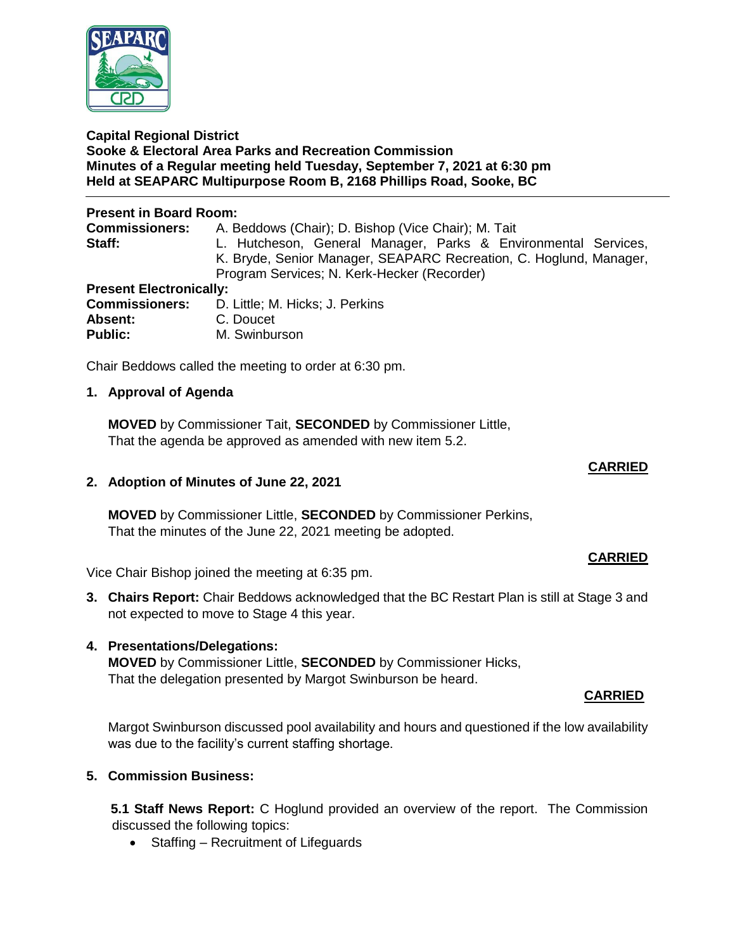

#### **Capital Regional District Sooke & Electoral Area Parks and Recreation Commission Minutes of a Regular meeting held Tuesday, September 7, 2021 at 6:30 pm Held at SEAPARC Multipurpose Room B, 2168 Phillips Road, Sooke, BC**

## **Present in Board Room:**

| <b>Commissioners:</b>          | A. Beddows (Chair); D. Bishop (Vice Chair); M. Tait                |  |
|--------------------------------|--------------------------------------------------------------------|--|
| Staff:                         | L. Hutcheson, General Manager, Parks & Environmental Services,     |  |
|                                | K. Bryde, Senior Manager, SEAPARC Recreation, C. Hoglund, Manager, |  |
|                                | Program Services; N. Kerk-Hecker (Recorder)                        |  |
| <b>Present Electronically:</b> |                                                                    |  |
| <b>Commissioners:</b>          | D. Little; M. Hicks; J. Perkins                                    |  |
| $A$ <b>boomt</b>               | $\cap$ Dought                                                      |  |

| <b>Commissioners:</b> | D. Little; M. Hicks; J. Perkins |
|-----------------------|---------------------------------|
| Absent:               | C. Doucet                       |
| <b>Public:</b>        | M. Swinburson                   |

Chair Beddows called the meeting to order at 6:30 pm.

## **1. Approval of Agenda**

**MOVED** by Commissioner Tait, **SECONDED** by Commissioner Little, That the agenda be approved as amended with new item 5.2.

## **CARRIED**

## **2. Adoption of Minutes of June 22, 2021**

**MOVED** by Commissioner Little, **SECONDED** by Commissioner Perkins, That the minutes of the June 22, 2021 meeting be adopted.

Vice Chair Bishop joined the meeting at 6:35 pm.

**3. Chairs Report:** Chair Beddows acknowledged that the BC Restart Plan is still at Stage 3 and not expected to move to Stage 4 this year.

# **4. Presentations/Delegations:**

**MOVED** by Commissioner Little, **SECONDED** by Commissioner Hicks, That the delegation presented by Margot Swinburson be heard.

# **CARRIED**

Margot Swinburson discussed pool availability and hours and questioned if the low availability was due to the facility's current staffing shortage.

# **5. Commission Business:**

**5.1 Staff News Report:** C Hoglund provided an overview of the report. The Commission discussed the following topics:

• Staffing – Recruitment of Lifeguards

# **CARRIED**